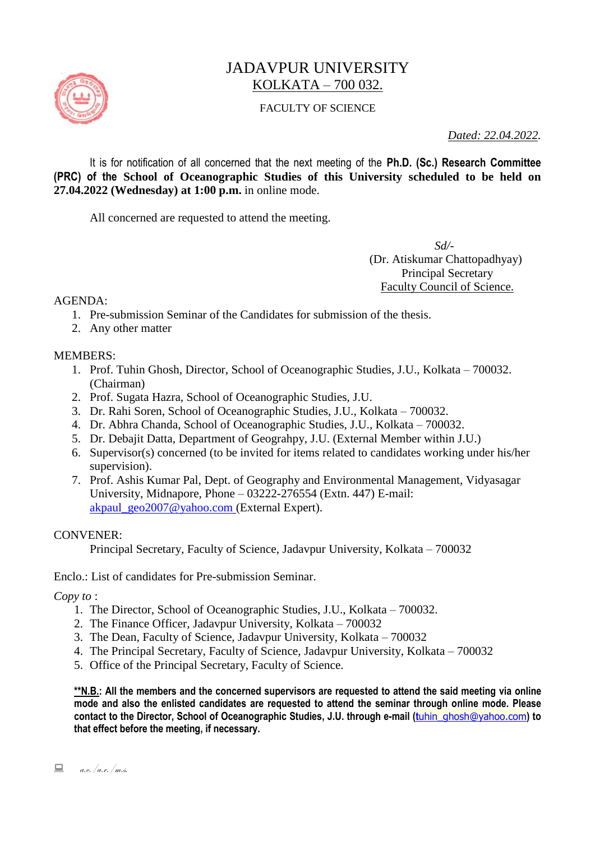

# JADAVPUR UNIVERSITY KOLKATA – 700 032.

### FACULTY OF SCIENCE

*Dated: 22.04.2022.*

It is for notification of all concerned that the next meeting of the **Ph.D. (Sc.) Research Committee (PRC) of the School of Oceanographic Studies of this University scheduled to be held on 27.04.2022 (Wednesday) at 1:00 p.m.** in online mode.

All concerned are requested to attend the meeting.

 *Sd/-*  (Dr. Atiskumar Chattopadhyay) Principal Secretary Faculty Council of Science.

AGENDA:

- 1. Pre-submission Seminar of the Candidates for submission of the thesis.
- 2. Any other matter

#### MEMBERS:

- 1. Prof. Tuhin Ghosh, Director, School of Oceanographic Studies, J.U., Kolkata 700032. (Chairman)
- 2. Prof. Sugata Hazra, School of Oceanographic Studies, J.U.
- 3. Dr. Rahi Soren, School of Oceanographic Studies, J.U., Kolkata 700032.
- 4. Dr. Abhra Chanda, School of Oceanographic Studies, J.U., Kolkata 700032.
- 5. Dr. Debajit Datta, Department of Geograhpy, J.U. (External Member within J.U.)
- 6. Supervisor(s) concerned (to be invited for items related to candidates working under his/her supervision).
- 7. Prof. Ashis Kumar Pal, Dept. of Geography and Environmental Management, Vidyasagar University, Midnapore, Phone – 03222-276554 (Extn. 447) E-mail: [akpaul\\_geo2007@yahoo.com](mailto:akpaul_geo2007@yahoo.com%20(External) (External Expert).

#### CONVENER:

Principal Secretary, Faculty of Science, Jadavpur University, Kolkata – 700032

Enclo.: List of candidates for Pre-submission Seminar.

*Copy to* :

- 1. The Director, School of Oceanographic Studies, J.U., Kolkata 700032.
- 2. The Finance Officer, Jadavpur University, Kolkata 700032
- 3. The Dean, Faculty of Science, Jadavpur University, Kolkata 700032
- 4. The Principal Secretary, Faculty of Science, Jadavpur University, Kolkata 700032
- 5. Office of the Principal Secretary, Faculty of Science.

**\*\*N.B.: All the members and the concerned supervisors are requested to attend the said meeting via online mode and also the enlisted candidates are requested to attend the seminar through online mode. Please**  contact to the Director, School of Oceanographic Studies, J.U. through e-mail (t[uhin\\_ghosh@yahoo.com](mailto:tuhin_ghosh@yahoo.com)) to **that effect before the meeting, if necessary.**